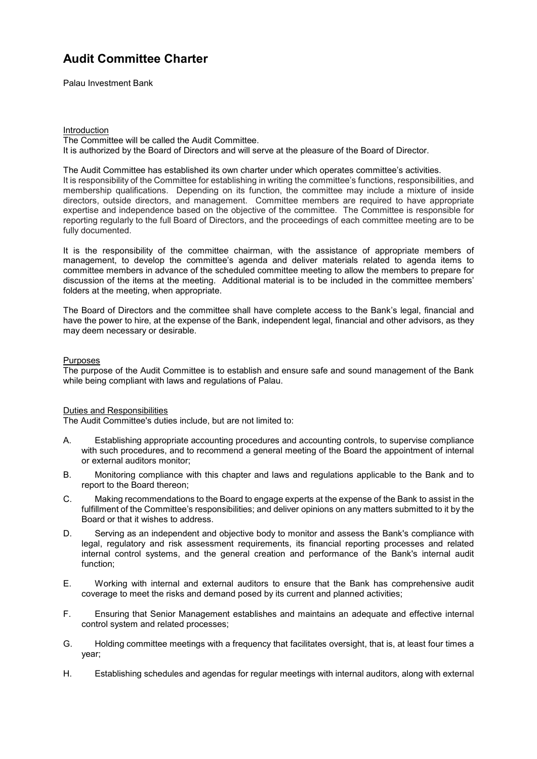Palau Investment Bank

#### Introduction The Committee will be called the Audit Committee. It is authorized by the Board of Directors and will serve at the pleasure of the Board of Director.

The Audit Committee has established its own charter under which operates committee's activities. It is responsibility of the Committee for establishing in writing the committee's functions, responsibilities, and membership qualifications. Depending on its function, the committee may include a mixture of inside directors, outside directors, and management. Committee members are required to have appropriate expertise and independence based on the objective of the committee. The Committee is responsible for reporting regularly to the full Board of Directors, and the proceedings of each committee meeting are to be fully documented.

It is the responsibility of the committee chairman, with the assistance of appropriate members of management, to develop the committee's agenda and deliver materials related to agenda items to committee members in advance of the scheduled committee meeting to allow the members to prepare for discussion of the items at the meeting. Additional material is to be included in the committee members' folders at the meeting, when appropriate.

The Board of Directors and the committee shall have complete access to the Bank's legal, financial and have the power to hire, at the expense of the Bank, independent legal, financial and other advisors, as they may deem necessary or desirable.

### Purposes

The purpose of the Audit Committee is to establish and ensure safe and sound management of the Bank while being compliant with laws and regulations of Palau.

#### Duties and Responsibilities

The Audit Committee's duties include, but are not limited to:

- A. Establishing appropriate accounting procedures and accounting controls, to supervise compliance with such procedures, and to recommend a general meeting of the Board the appointment of internal or external auditors monitor;
- B. Monitoring compliance with this chapter and laws and regulations applicable to the Bank and to report to the Board thereon;
- C. Making recommendations to the Board to engage experts at the expense of the Bank to assist in the fulfillment of the Committee's responsibilities; and deliver opinions on any matters submitted to it by the Board or that it wishes to address.
- D. Serving as an independent and objective body to monitor and assess the Bank's compliance with legal, regulatory and risk assessment requirements, its financial reporting processes and related internal control systems, and the general creation and performance of the Bank's internal audit function;
- E. Working with internal and external auditors to ensure that the Bank has comprehensive audit coverage to meet the risks and demand posed by its current and planned activities;
- F. Ensuring that Senior Management establishes and maintains an adequate and effective internal control system and related processes;
- G. Holding committee meetings with a frequency that facilitates oversight, that is, at least four times a year;
- H. Establishing schedules and agendas for regular meetings with internal auditors, along with external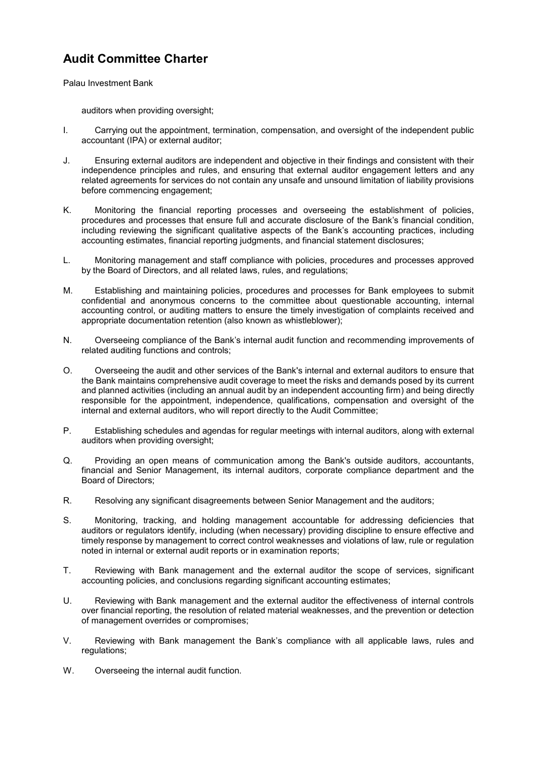Palau Investment Bank

auditors when providing oversight;

- I. Carrying out the appointment, termination, compensation, and oversight of the independent public accountant (IPA) or external auditor;
- J. Ensuring external auditors are independent and objective in their findings and consistent with their independence principles and rules, and ensuring that external auditor engagement letters and any related agreements for services do not contain any unsafe and unsound limitation of liability provisions before commencing engagement;
- K. Monitoring the financial reporting processes and overseeing the establishment of policies, procedures and processes that ensure full and accurate disclosure of the Bank's financial condition, including reviewing the significant qualitative aspects of the Bank's accounting practices, including accounting estimates, financial reporting judgments, and financial statement disclosures;
- L. Monitoring management and staff compliance with policies, procedures and processes approved by the Board of Directors, and all related laws, rules, and regulations;
- M. Establishing and maintaining policies, procedures and processes for Bank employees to submit confidential and anonymous concerns to the committee about questionable accounting, internal accounting control, or auditing matters to ensure the timely investigation of complaints received and appropriate documentation retention (also known as whistleblower);
- N. Overseeing compliance of the Bank's internal audit function and recommending improvements of related auditing functions and controls;
- O. Overseeing the audit and other services of the Bank's internal and external auditors to ensure that the Bank maintains comprehensive audit coverage to meet the risks and demands posed by its current and planned activities (including an annual audit by an independent accounting firm) and being directly responsible for the appointment, independence, qualifications, compensation and oversight of the internal and external auditors, who will report directly to the Audit Committee;
- P. Establishing schedules and agendas for regular meetings with internal auditors, along with external auditors when providing oversight;
- Q. Providing an open means of communication among the Bank's outside auditors, accountants, financial and Senior Management, its internal auditors, corporate compliance department and the Board of Directors;
- R. Resolving any significant disagreements between Senior Management and the auditors;
- S. Monitoring, tracking, and holding management accountable for addressing deficiencies that auditors or regulators identify, including (when necessary) providing discipline to ensure effective and timely response by management to correct control weaknesses and violations of law, rule or regulation noted in internal or external audit reports or in examination reports;
- T. Reviewing with Bank management and the external auditor the scope of services, significant accounting policies, and conclusions regarding significant accounting estimates;
- U. Reviewing with Bank management and the external auditor the effectiveness of internal controls over financial reporting, the resolution of related material weaknesses, and the prevention or detection of management overrides or compromises;
- V. Reviewing with Bank management the Bank's compliance with all applicable laws, rules and regulations;
- W. Overseeing the internal audit function.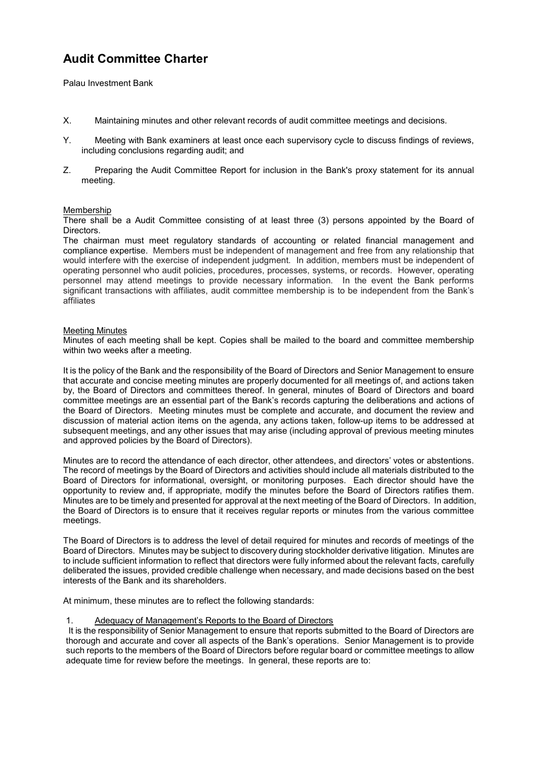Palau Investment Bank

- X. Maintaining minutes and other relevant records of audit committee meetings and decisions.
- Y. Meeting with Bank examiners at least once each supervisory cycle to discuss findings of reviews, including conclusions regarding audit; and
- Z. Preparing the Audit Committee Report for inclusion in the Bank's proxy statement for its annual meeting.

### Membership

There shall be a Audit Committee consisting of at least three (3) persons appointed by the Board of Directors.

The chairman must meet regulatory standards of accounting or related financial management and compliance expertise. Members must be independent of management and free from any relationship that would interfere with the exercise of independent judgment. In addition, members must be independent of operating personnel who audit policies, procedures, processes, systems, or records. However, operating personnel may attend meetings to provide necessary information. In the event the Bank performs significant transactions with affiliates, audit committee membership is to be independent from the Bank's affiliates

#### Meeting Minutes

Minutes of each meeting shall be kept. Copies shall be mailed to the board and committee membership within two weeks after a meeting.

It is the policy of the Bank and the responsibility of the Board of Directors and Senior Management to ensure that accurate and concise meeting minutes are properly documented for all meetings of, and actions taken by, the Board of Directors and committees thereof. In general, minutes of Board of Directors and board committee meetings are an essential part of the Bank's records capturing the deliberations and actions of the Board of Directors. Meeting minutes must be complete and accurate, and document the review and discussion of material action items on the agenda, any actions taken, follow-up items to be addressed at subsequent meetings, and any other issues that may arise (including approval of previous meeting minutes and approved policies by the Board of Directors).

Minutes are to record the attendance of each director, other attendees, and directors' votes or abstentions. The record of meetings by the Board of Directors and activities should include all materials distributed to the Board of Directors for informational, oversight, or monitoring purposes. Each director should have the opportunity to review and, if appropriate, modify the minutes before the Board of Directors ratifies them. Minutes are to be timely and presented for approval at the next meeting of the Board of Directors. In addition, the Board of Directors is to ensure that it receives regular reports or minutes from the various committee meetings.

The Board of Directors is to address the level of detail required for minutes and records of meetings of the Board of Directors. Minutes may be subject to discovery during stockholder derivative litigation. Minutes are to include sufficient information to reflect that directors were fully informed about the relevant facts, carefully deliberated the issues, provided credible challenge when necessary, and made decisions based on the best interests of the Bank and its shareholders.

At minimum, these minutes are to reflect the following standards:

### 1. Adequacy of Management's Reports to the Board of Directors

 It is the responsibility of Senior Management to ensure that reports submitted to the Board of Directors are thorough and accurate and cover all aspects of the Bank's operations. Senior Management is to provide such reports to the members of the Board of Directors before regular board or committee meetings to allow adequate time for review before the meetings. In general, these reports are to: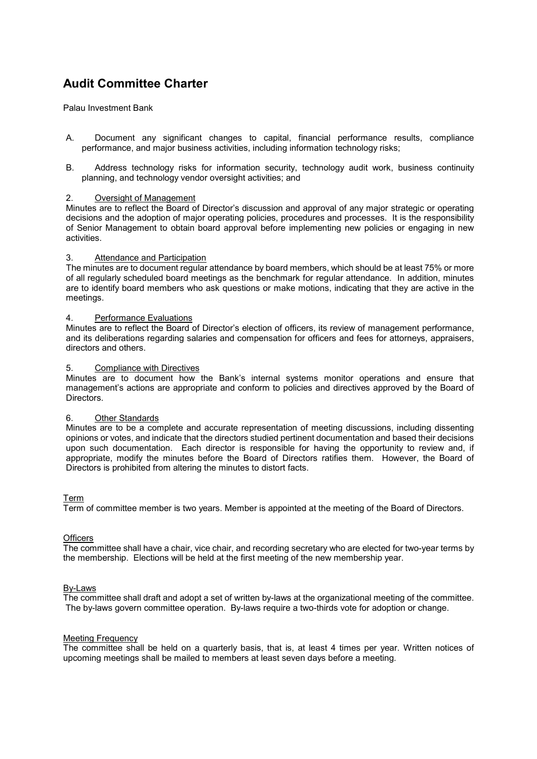Palau Investment Bank

- A. Document any significant changes to capital, financial performance results, compliance performance, and major business activities, including information technology risks;
- B. Address technology risks for information security, technology audit work, business continuity planning, and technology vendor oversight activities; and

### 2. Oversight of Management

Minutes are to reflect the Board of Director's discussion and approval of any major strategic or operating decisions and the adoption of major operating policies, procedures and processes. It is the responsibility of Senior Management to obtain board approval before implementing new policies or engaging in new activities.

#### 3. Attendance and Participation

The minutes are to document regular attendance by board members, which should be at least 75% or more of all regularly scheduled board meetings as the benchmark for regular attendance. In addition, minutes are to identify board members who ask questions or make motions, indicating that they are active in the meetings.

#### 4. Performance Evaluations

Minutes are to reflect the Board of Director's election of officers, its review of management performance, and its deliberations regarding salaries and compensation for officers and fees for attorneys, appraisers, directors and others.

#### 5. Compliance with Directives

Minutes are to document how the Bank's internal systems monitor operations and ensure that management's actions are appropriate and conform to policies and directives approved by the Board of Directors.

#### 6. Other Standards

Minutes are to be a complete and accurate representation of meeting discussions, including dissenting opinions or votes, and indicate that the directors studied pertinent documentation and based their decisions upon such documentation. Each director is responsible for having the opportunity to review and, if appropriate, modify the minutes before the Board of Directors ratifies them. However, the Board of Directors is prohibited from altering the minutes to distort facts.

Term

Term of committee member is two years. Member is appointed at the meeting of the Board of Directors.

## **Officers**

The committee shall have a chair, vice chair, and recording secretary who are elected for two-year terms by the membership. Elections will be held at the first meeting of the new membership year.

#### By-Laws

The committee shall draft and adopt a set of written by-laws at the organizational meeting of the committee. The by-laws govern committee operation. By-laws require a two-thirds vote for adoption or change.

#### Meeting Frequency

The committee shall be held on a quarterly basis, that is, at least 4 times per year. Written notices of upcoming meetings shall be mailed to members at least seven days before a meeting.